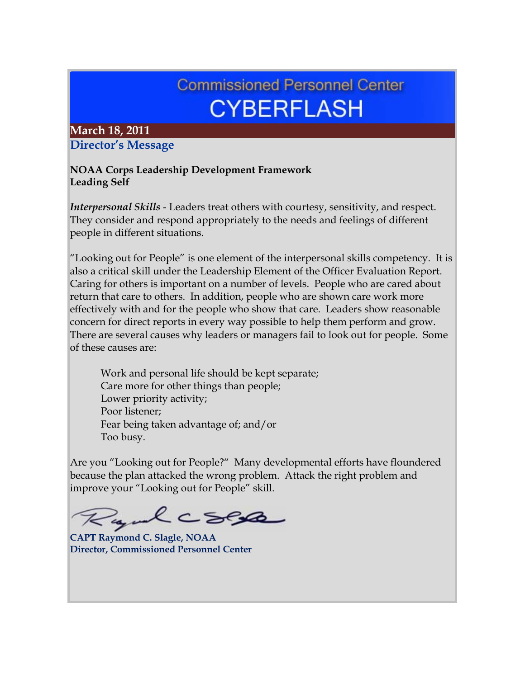# **Commissioned Personnel Center CYBERFLASH**

# **March 18, 2011 Director's Message**

#### **NOAA Corps Leadership Development Framework Leading Self**

*Interpersonal Skills* - Leaders treat others with courtesy, sensitivity, and respect. They consider and respond appropriately to the needs and feelings of different people in different situations.

"Looking out for People" is one element of the interpersonal skills competency. It is also a critical skill under the Leadership Element of the Officer Evaluation Report. Caring for others is important on a number of levels. People who are cared about return that care to others. In addition, people who are shown care work more effectively with and for the people who show that care. Leaders show reasonable concern for direct reports in every way possible to help them perform and grow. There are several causes why leaders or managers fail to look out for people. Some of these causes are:

 Work and personal life should be kept separate; Care more for other things than people; Lower priority activity; Poor listener; Fear being taken advantage of; and/or Too busy.

Are you "Looking out for People?" Many developmental efforts have floundered because the plan attacked the wrong problem. Attack the right problem and improve your "Looking out for People" skill.

and CSER

**CAPT Raymond C. Slagle, NOAA Director, Commissioned Personnel Center**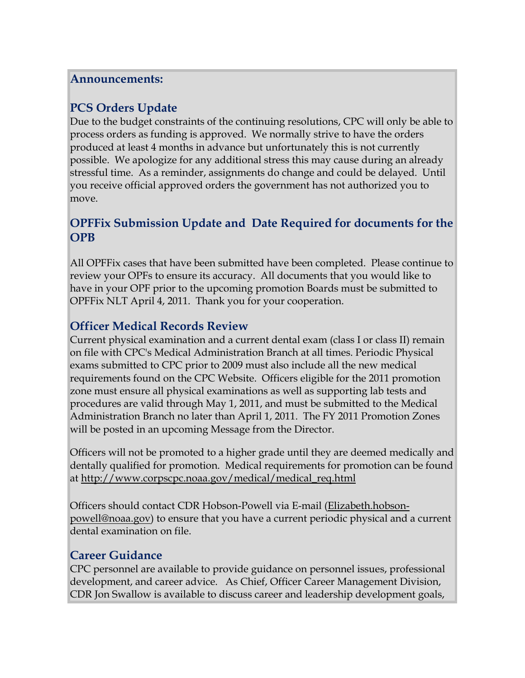#### **Announcements:**

# **PCS Orders Update**

Due to the budget constraints of the continuing resolutions, CPC will only be able to process orders as funding is approved. We normally strive to have the orders produced at least 4 months in advance but unfortunately this is not currently possible. We apologize for any additional stress this may cause during an already stressful time. As a reminder, assignments do change and could be delayed. Until you receive official approved orders the government has not authorized you to move.

# **OPFFix Submission Update and Date Required for documents for the OPB**

All OPFFix cases that have been submitted have been completed. Please continue to review your OPFs to ensure its accuracy. All documents that you would like to have in your OPF prior to the upcoming promotion Boards must be submitted to OPFFix NLT April 4, 2011. Thank you for your cooperation.

# **Officer Medical Records Review**

Current physical examination and a current dental exam (class I or class II) remain on file with CPC's Medical Administration Branch at all times. Periodic Physical exams submitted to CPC prior to 2009 must also include all the new medical requirements found on the CPC Website. Officers eligible for the 2011 promotion zone must ensure all physical examinations as well as supporting lab tests and procedures are valid through May 1, 2011, and must be submitted to the Medical Administration Branch no later than April 1, 2011. The FY 2011 Promotion Zones will be posted in an upcoming Message from the Director.

Officers will not be promoted to a higher grade until they are deemed medically and dentally qualified for promotion. Medical requirements for promotion can be found at [http://www.corpscpc.noaa.gov/medical/medical\\_req.html](http://www.corpscpc.noaa.gov/medical/medical_req.html)

Officers should contact CDR Hobson-Powell via E-mail [\(Elizabeth.hobson](mailto:Elizabeth.hobson-powell@noaa.gov)[powell@noaa.gov\)](mailto:Elizabeth.hobson-powell@noaa.gov) to ensure that you have a current periodic physical and a current dental examination on file.

## **Career Guidance**

CPC personnel are available to provide guidance on personnel issues, professional development, and career advice. As Chief, Officer Career Management Division, CDR Jon Swallow is available to discuss career and leadership development goals,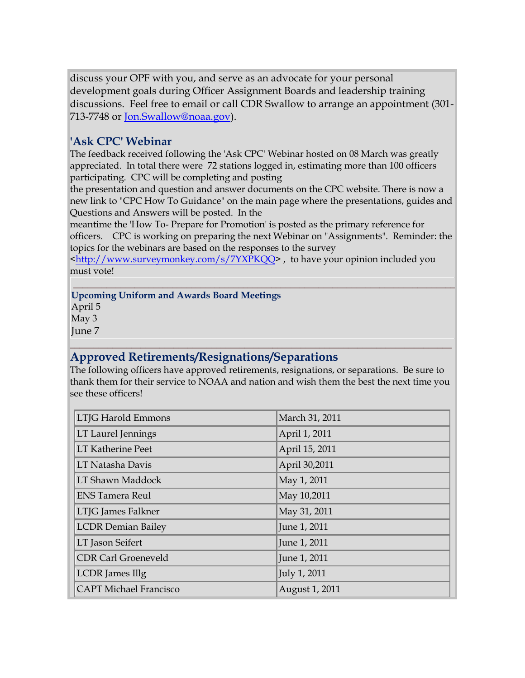discuss your OPF with you, and serve as an advocate for your personal development goals during Officer Assignment Boards and leadership training discussions. Feel free to email or call CDR Swallow to arrange an appointment (301- 713-7748 or [Jon.Swallow@noaa.gov\)](mailto:Jon.Swallow@noaa.gov).

## **'Ask CPC' Webinar**

The feedback received following the 'Ask CPC' Webinar hosted on 08 March was greatly appreciated. In total there were 72 stations logged in, estimating more than 100 officers participating. CPC will be completing and posting

the presentation and question and answer documents on the CPC website. There is now a new link to "CPC How To Guidance" on the main page where the presentations, guides and Questions and Answers will be posted. In the

meantime the 'How To- Prepare for Promotion' is posted as the primary reference for officers. CPC is working on preparing the next Webinar on "Assignments". Reminder: the topics for the webinars are based on the responses to the survey

[<http://www.surveymonkey.com/s/7YXPKQQ>](http://www.surveymonkey.com/s/7YXPKQQ), to have your opinion included you must vote!

#### **\_\_\_\_\_\_\_\_\_\_\_\_\_\_\_\_\_\_\_\_\_\_\_\_\_\_\_\_\_\_\_\_\_\_\_\_\_\_\_\_\_\_\_\_\_\_\_\_\_\_\_\_\_\_\_\_\_\_\_\_\_\_\_\_\_\_\_\_\_\_\_\_\_\_\_\_\_\_\_\_\_ Upcoming Uniform and Awards Board Meetings**

April 5

May 3

June 7

#### **\_\_\_\_\_\_\_\_\_\_\_\_\_\_\_\_\_\_\_\_\_\_\_\_\_\_\_\_\_\_\_\_\_\_\_\_\_\_\_\_\_\_\_\_\_\_\_\_\_\_\_\_\_\_\_\_\_\_\_\_\_\_\_\_\_\_\_\_\_\_\_\_\_\_\_\_\_\_\_\_\_ Approved Retirements/Resignations/Separations**

The following officers have approved retirements, resignations, or separations. Be sure to thank them for their service to NOAA and nation and wish them the best the next time you see these officers!

| LTJG Harold Emmons            | March 31, 2011 |
|-------------------------------|----------------|
| LT Laurel Jennings            | April 1, 2011  |
| <b>LT Katherine Peet</b>      | April 15, 2011 |
| LT Natasha Davis              | April 30,2011  |
| LT Shawn Maddock              | May 1, 2011    |
| <b>ENS Tamera Reul</b>        | May 10,2011    |
| LTJG James Falkner            | May 31, 2011   |
| <b>LCDR Demian Bailey</b>     | June 1, 2011   |
| LT Jason Seifert              | June 1, 2011   |
| <b>CDR Carl Groeneveld</b>    | June 1, 2011   |
| LCDR James Illg               | July 1, 2011   |
| <b>CAPT Michael Francisco</b> | August 1, 2011 |